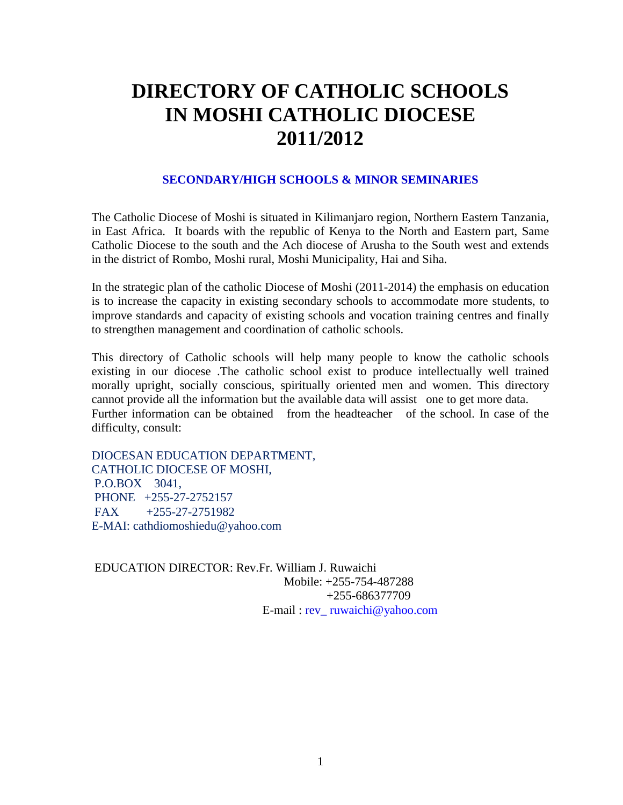## **DIRECTORY OF CATHOLIC SCHOOLS IN MOSHI CATHOLIC DIOCESE 2011/2012**

### **SECONDARY/HIGH SCHOOLS & MINOR SEMINARIES**

The Catholic Diocese of Moshi is situated in Kilimanjaro region, Northern Eastern Tanzania, in East Africa. It boards with the republic of Kenya to the North and Eastern part, Same Catholic Diocese to the south and the Ach diocese of Arusha to the South west and extends in the district of Rombo, Moshi rural, Moshi Municipality, Hai and Siha.

In the strategic plan of the catholic Diocese of Moshi (2011-2014) the emphasis on education is to increase the capacity in existing secondary schools to accommodate more students, to improve standards and capacity of existing schools and vocation training centres and finally to strengthen management and coordination of catholic schools.

This directory of Catholic schools will help many people to know the catholic schools existing in our diocese .The catholic school exist to produce intellectually well trained morally upright, socially conscious, spiritually oriented men and women. This directory cannot provide all the information but the available data will assist one to get more data. Further information can be obtained from the headteacher of the school. In case of the difficulty, consult:

DIOCESAN EDUCATION DEPARTMENT, CATHOLIC DIOCESE OF MOSHI, P.O.BOX 3041, PHONE +255-27-2752157 FAX +255-27-2751982 E-MAI: cathdiomoshiedu@yahoo.com

EDUCATION DIRECTOR: Rev.Fr. William J. Ruwaichi Mobile: +255-754-487288 +255-686377709 E-mail : rev\_ [ruwaichi@yahoo.com](mailto:ruwaichi@yahoo.com)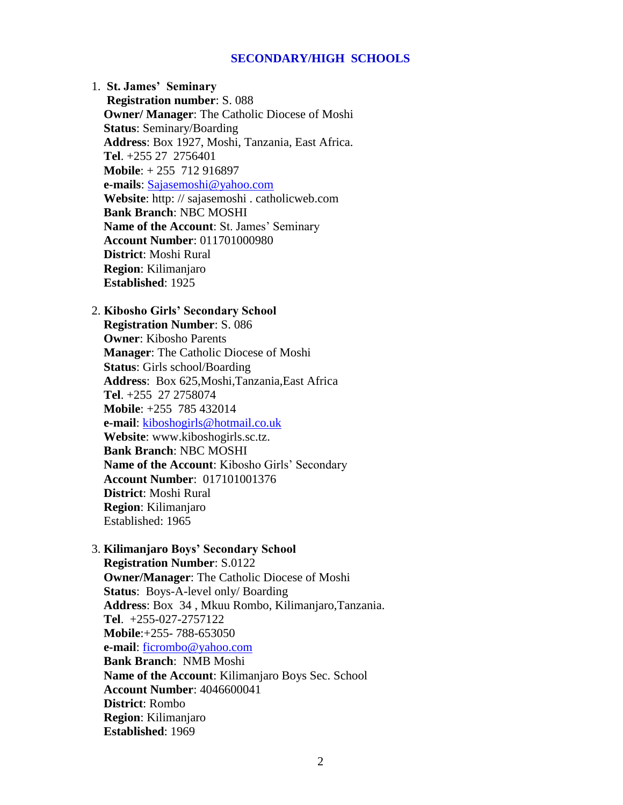### **SECONDARY/HIGH SCHOOLS**

1. **St. James' Seminary Registration number**: S. 088  **Owner/ Manager**: The Catholic Diocese of Moshi **Status**: Seminary/Boarding **Address**: Box 1927, Moshi, Tanzania, East Africa. **Tel**. +255 27 2756401 **Mobile**: + 255 712 916897 **e-mails**: [Sajasemoshi@yahoo.com](mailto:Sajasemoshi@yahoo.com) **Website**: http: // sajasemoshi . catholicweb.com **Bank Branch**: NBC MOSHI **Name of the Account**: St. James' Seminary **Account Number**: 011701000980 **District**: Moshi Rural **Region**: Kilimanjaro **Established**: 1925

### 2. **Kibosho Girls' Secondary School Registration Number**: S. 086 **Owner**: Kibosho Parents **Manager**: The Catholic Diocese of Moshi **Status**: Girls school/Boarding **Address**: Box 625,Moshi,Tanzania,East Africa **Tel**. +255 27 2758074 **Mobile**: +255 785 432014 **e-mail**: [kiboshogirls@hotmail.co.uk](mailto:kiboshogirls@hotmail.co.uk) **Website**: www.kiboshogirls.sc.tz. **Bank Branch**: NBC MOSHI **Name of the Account**: Kibosho Girls' Secondary **Account Number**: 017101001376 **District**: Moshi Rural **Region**: Kilimanjaro Established: 1965

3. **Kilimanjaro Boys' Secondary School Registration Number**: S.0122 **Owner/Manager**: The Catholic Diocese of Moshi **Status**: Boys-A-level only/ Boarding **Address**: Box 34 , Mkuu Rombo, Kilimanjaro,Tanzania. **Tel**. +255-027-2757122 **Mobile**:+255- 788-653050 **e-mail**: [ficrombo@yahoo.com](mailto:ficrombo@yahoo.com) **Bank Branch**: NMB Moshi **Name of the Account**: Kilimanjaro Boys Sec. School **Account Number**: 4046600041 **District**: Rombo **Region**: Kilimanjaro **Established**: 1969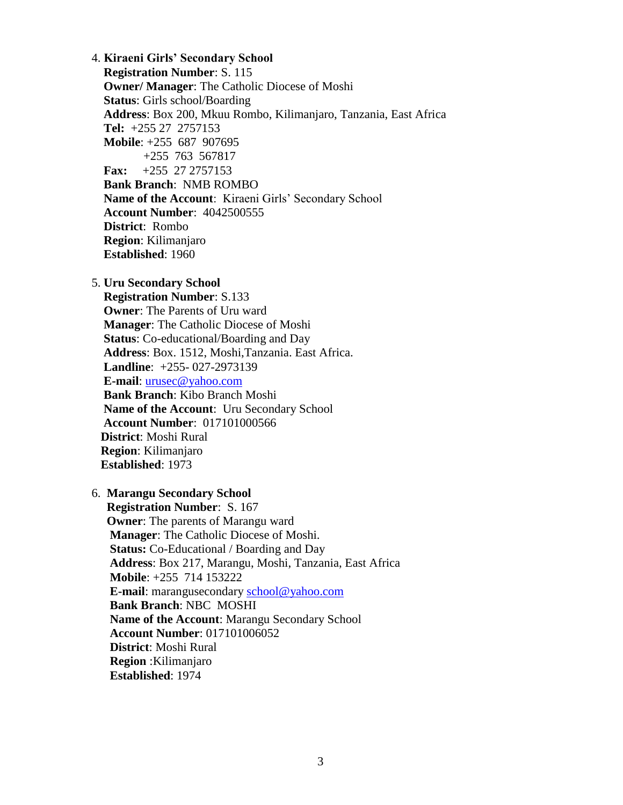4. **Kiraeni Girls' Secondary School Registration Number**: S. 115 **Owner/ Manager**: The Catholic Diocese of Moshi **Status**: Girls school/Boarding **Address**: Box 200, Mkuu Rombo, Kilimanjaro, Tanzania, East Africa **Tel:** +255 27 2757153 **Mobile**: +255 687 907695 +255 763 567817  **Fax:** +255 27 2757153 **Bank Branch**: NMB ROMBO **Name of the Account**: Kiraeni Girls' Secondary School **Account Number**: 4042500555 **District**: Rombo **Region**: Kilimanjaro **Established**: 1960

5. **Uru Secondary School Registration Number**: S.133 **Owner**: The Parents of Uru ward **Manager**: The Catholic Diocese of Moshi **Status**: Co-educational/Boarding and Day **Address**: Box. 1512, Moshi,Tanzania. East Africa. **Landline**: +255- 027-2973139 **E-mail**: [urusec@yahoo.com](mailto:urusec@yahoo.com) **Bank Branch**: Kibo Branch Moshi **Name of the Account**: Uru Secondary School **Account Number**: 017101000566 **District**: Moshi Rural **Region**: Kilimanjaro **Established**: 1973

### 6. **Marangu Secondary School**

 **Registration Number**: S. 167 **Owner**: The parents of Marangu ward **Manager**: The Catholic Diocese of Moshi. **Status:** Co-Educational / Boarding and Day **Address**: Box 217, Marangu, Moshi, Tanzania, East Africa **Mobile**: +255 714 153222 **E-mail**: marangusecondary [school@yahoo.com](mailto:school@yahoo.com) **Bank Branch**: NBC MOSHI **Name of the Account**: Marangu Secondary School **Account Number**: 017101006052 **District**: Moshi Rural **Region** :Kilimanjaro **Established**: 1974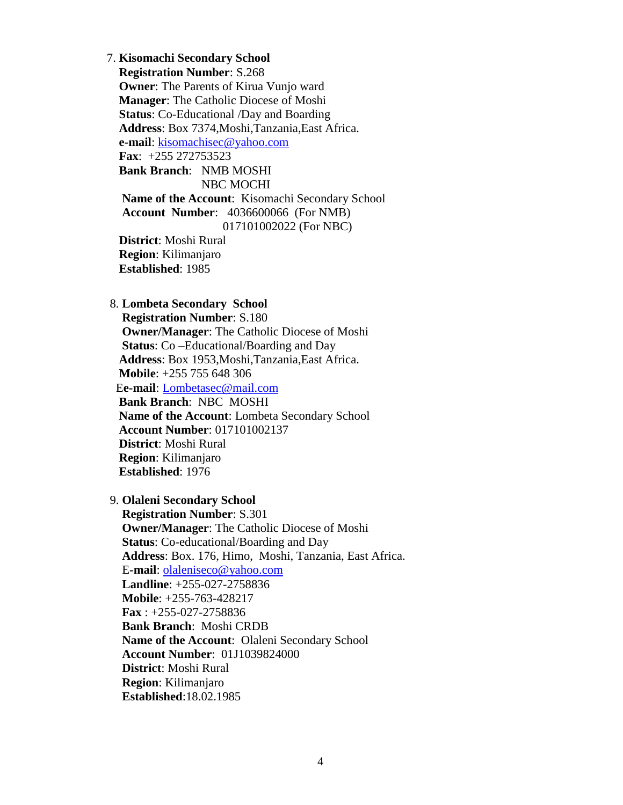7. **Kisomachi Secondary School Registration Number**: S.268 **Owner**: The Parents of Kirua Vunjo ward **Manager**: The Catholic Diocese of Moshi **Status**: Co-Educational /Day and Boarding **Address**: Box 7374,Moshi,Tanzania,East Africa. **e-mail**: [kisomachisec@yahoo.com](mailto:kisomachisec@yahoo.com) **Fax**: +255 272753523 **Bank Branch**: NMB MOSHI NBC MOCHI **Name of the Account**: Kisomachi Secondary School **Account Number**: 4036600066 (For NMB) 017101002022 (For NBC) **District**: Moshi Rural **Region**: Kilimanjaro

**Established**: 1985

### 8. **Lombeta Secondary School**

 **Registration Number**: S.180 **Owner/Manager**: The Catholic Diocese of Moshi **Status**: Co –Educational/Boarding and Day **Address**: Box 1953,Moshi,Tanzania,East Africa. **Mobile**: +255 755 648 306 E**e-mail**: [Lombetasec@mail.com](mailto:Lombetasec@mail.com) **Bank Branch**: NBC MOSHI **Name of the Account**: Lombeta Secondary School **Account Number**: 017101002137 **District**: Moshi Rural **Region**: Kilimanjaro **Established**: 1976

### 9. **Olaleni Secondary School**

 **Registration Number**: S.301 **Owner/Manager**: The Catholic Diocese of Moshi **Status**: Co-educational/Boarding and Day **Address**: Box. 176, Himo, Moshi, Tanzania, East Africa. E**-mail**: [olaleniseco@yahoo.com](mailto:olaleniseco@yahoo.com) **Landline**: +255-027-2758836 **Mobile**: +255-763-428217 **Fax** : +255-027-2758836 **Bank Branch**: Moshi CRDB **Name of the Account**: Olaleni Secondary School **Account Number**: 01J1039824000 **District**: Moshi Rural **Region**: Kilimanjaro **Established**:18.02.1985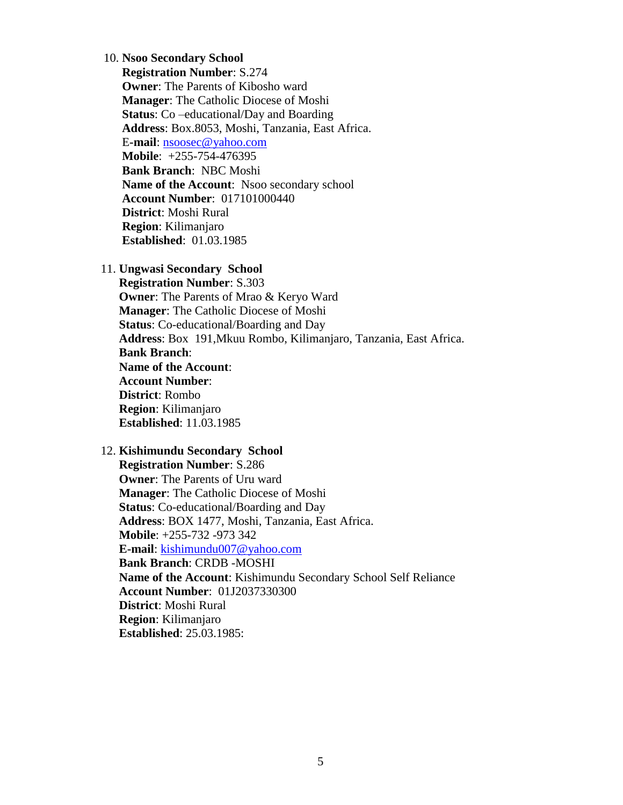### 10. **Nsoo Secondary School**

 **Registration Number**: S.274 **Owner:** The Parents of Kibosho ward **Manager**: The Catholic Diocese of Moshi **Status**: Co –educational/Day and Boarding **Address**: Box.8053, Moshi, Tanzania, East Africa. E**-mail**: [nsoosec@yahoo.com](mailto:nsoosec@yahoo.com) **Mobile**: +255-754-476395 **Bank Branch**: NBC Moshi **Name of the Account**: Nsoo secondary school **Account Number**: 017101000440 **District**: Moshi Rural **Region**: Kilimanjaro **Established**: 01.03.1985

11. **Ungwasi Secondary School**

 **Registration Number**: S.303 **Owner**: The Parents of Mrao & Keryo Ward **Manager**: The Catholic Diocese of Moshi **Status**: Co-educational/Boarding and Day **Address**: Box 191,Mkuu Rombo, Kilimanjaro, Tanzania, East Africa. **Bank Branch**: **Name of the Account**: **Account Number**: **District**: Rombo **Region**: Kilimanjaro **Established**: 11.03.1985

#### 12. **Kishimundu Secondary School**

 **Registration Number**: S.286 **Owner**: The Parents of Uru ward **Manager**: The Catholic Diocese of Moshi **Status**: Co-educational/Boarding and Day **Address**: BOX 1477, Moshi, Tanzania, East Africa. **Mobile**: +255-732 -973 342 **E-mail**: [kishimundu007@yahoo.com](mailto:kishimundu007@yahoo.com) **Bank Branch**: CRDB -MOSHI **Name of the Account**: Kishimundu Secondary School Self Reliance **Account Number**: 01J2037330300 **District**: Moshi Rural **Region**: Kilimanjaro **Established**: 25.03.1985: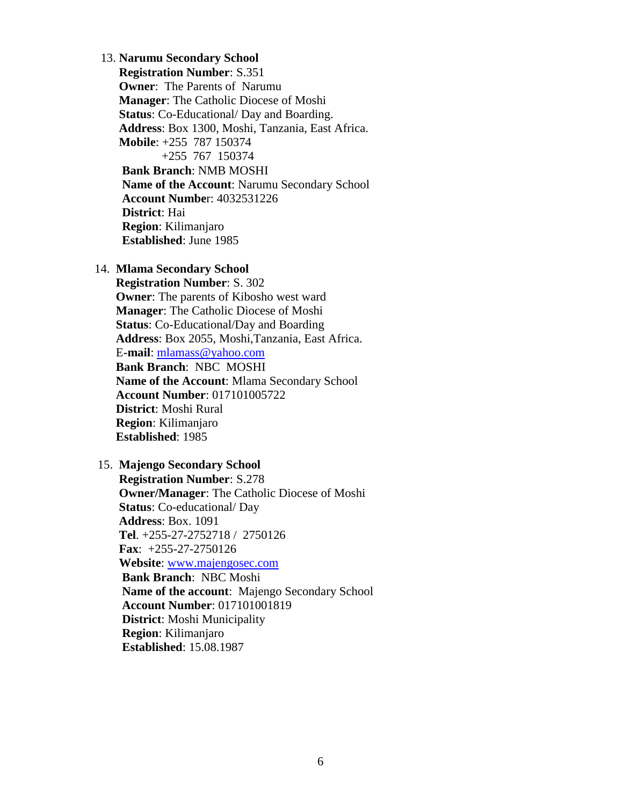13. **Narumu Secondary School Registration Number**: S.351 **Owner**: The Parents of Narumu **Manager**: The Catholic Diocese of Moshi **Status**: Co-Educational/ Day and Boarding. **Address**: Box 1300, Moshi, Tanzania, East Africa. **Mobile**: +255 787 150374 +255 767 150374 **Bank Branch**: NMB MOSHI **Name of the Account**: Narumu Secondary School **Account Numbe**r: 4032531226 **District**: Hai **Region**: Kilimanjaro **Established**: June 1985

### 14. **Mlama Secondary School**

 **Registration Number**: S. 302 **Owner**: The parents of Kibosho west ward **Manager**: The Catholic Diocese of Moshi **Status**: Co-Educational/Day and Boarding **Address**: Box 2055, Moshi,Tanzania, East Africa. E**-mail**: [mlamass@yahoo.com](mailto:mlamass@yahoo.com) **Bank Branch**: NBC MOSHI **Name of the Account**: Mlama Secondary School **Account Number**: 017101005722 **District**: Moshi Rural **Region**: Kilimanjaro **Established**: 1985

### 15. **Majengo Secondary School**

 **Registration Number**: S.278 **Owner/Manager**: The Catholic Diocese of Moshi **Status**: Co-educational/ Day **Address**: Box. 1091 **Tel**. +255-27-2752718 / 2750126 **Fax**: +255-27-2750126 **Website**: [www.majengosec.com](http://www.majengosec.com/) **Bank Branch**: NBC Moshi **Name of the account**: Majengo Secondary School **Account Number**: 017101001819 **District**: Moshi Municipality **Region**: Kilimanjaro **Established**: 15.08.1987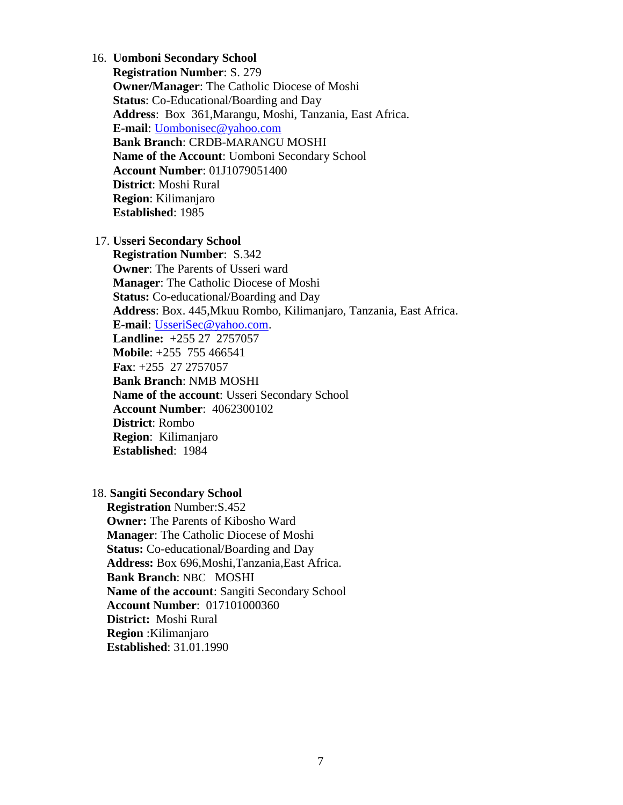### 16. **Uomboni Secondary School**

**Registration Number**: S. 279 **Owner/Manager**: The Catholic Diocese of Moshi **Status**: Co-Educational/Boarding and Day **Address**: Box 361,Marangu, Moshi, Tanzania, East Africa. **E-mail**: [Uombonisec@yahoo.com](mailto:Uombonisec@yahoo.com) **Bank Branch**: CRDB-MARANGU MOSHI **Name of the Account**: Uomboni Secondary School **Account Number**: 01J1079051400 **District**: Moshi Rural **Region**: Kilimanjaro **Established**: 1985

### 17. **Usseri Secondary School**

**Registration Number**: S.342 **Owner**: The Parents of Usseri ward **Manager**: The Catholic Diocese of Moshi **Status:** Co-educational/Boarding and Day **Address**: Box. 445,Mkuu Rombo, Kilimanjaro, Tanzania, East Africa. **E-mail**: [UsseriSec@yahoo.com.](mailto:UsseriSec@yahoo.com) **Landline:** +255 27 2757057  **Mobile**: +255 755 466541  **Fax**: +255 27 2757057 **Bank Branch**: NMB MOSHI **Name of the account**: Usseri Secondary School **Account Number**: 4062300102  **District**: Rombo  **Region**: Kilimanjaro  **Established**: 1984

### 18. **Sangiti Secondary School**

 **Registration** Number:S.452 **Owner:** The Parents of Kibosho Ward **Manager**: The Catholic Diocese of Moshi **Status:** Co-educational/Boarding and Day **Address:** Box 696,Moshi,Tanzania,East Africa.  **Bank Branch**: NBC MOSHI **Name of the account**: Sangiti Secondary School **Account Number**: 017101000360  **District:** Moshi Rural  **Region** :Kilimanjaro **Established**: 31.01.1990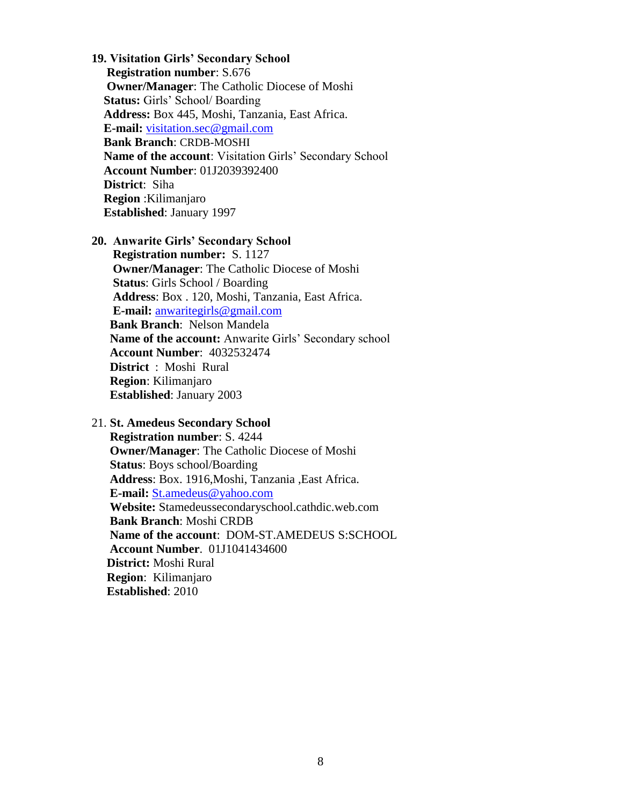**19. Visitation Girls' Secondary School Registration number**: S.676 **Owner/Manager**: The Catholic Diocese of Moshi **Status:** Girls' School/ Boarding **Address:** Box 445, Moshi, Tanzania, East Africa. **E-mail:** [visitation.sec@gmail.com](mailto:visitation.sec@gmail.com) **Bank Branch**: CRDB-MOSHI **Name of the account**: Visitation Girls' Secondary School **Account Number**: 01J2039392400 **District**: Siha **Region** :Kilimanjaro  **Established**: January 1997

### **20. Anwarite Girls' Secondary School**

**Registration number:** S. 1127 **Owner/Manager**: The Catholic Diocese of Moshi **Status**: Girls School / Boarding **Address**: Box . 120, Moshi, Tanzania, East Africa. **E-mail:** [anwaritegirls@gmail.com](mailto:anwaritegirls@gmail.com)  **Bank Branch**: Nelson Mandela **Name of the account:** Anwarite Girls' Secondary school **Account Number**: 4032532474 **District** : Moshi Rural  **Region**: Kilimanjaro  **Established**: January 2003

21. **St. Amedeus Secondary School**

 **Registration number**: S. 4244 **Owner/Manager**: The Catholic Diocese of Moshi **Status**: Boys school/Boarding **Address**: Box. 1916,Moshi, Tanzania ,East Africa. **E-mail:** [St.amedeus@yahoo.com](mailto:St.amedeus@yahoo.com) **Website:** Stamedeussecondaryschool.cathdic.web.com **Bank Branch**: Moshi CRDB **Name of the account**: DOM-ST.AMEDEUS S:SCHOOL **Account Number**. 01J1041434600  **District:** Moshi Rural  **Region**: Kilimanjaro  **Established**: 2010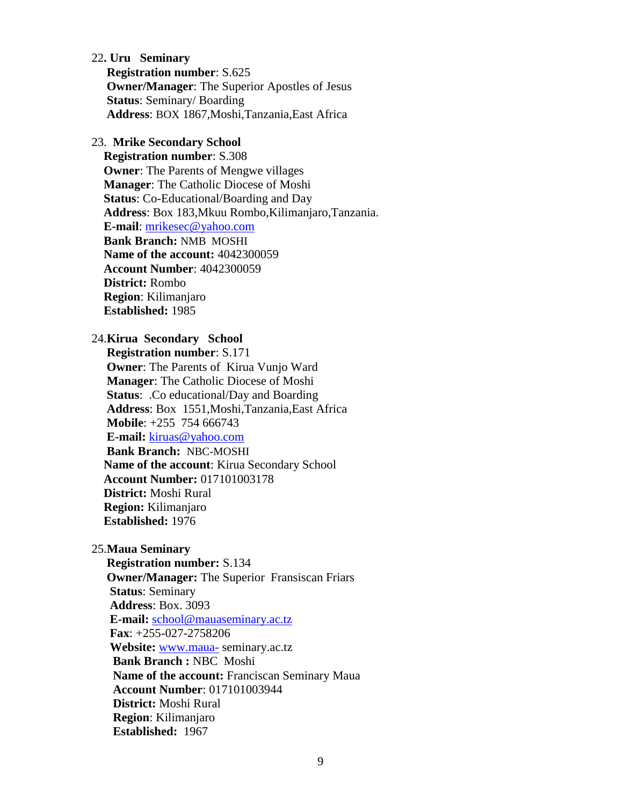22**. Uru Seminary Registration number**: S.625 **Owner/Manager**: The Superior Apostles of Jesus **Status**: Seminary/ Boarding  **Address**: BOX 1867,Moshi,Tanzania,East Africa

### 23. **Mrike Secondary School**

 **Registration number**: S.308 **Owner**: The Parents of Mengwe villages **Manager**: The Catholic Diocese of Moshi **Status**: Co-Educational/Boarding and Day **Address**: Box 183,Mkuu Rombo,Kilimanjaro,Tanzania. **E-mail**: [mrikesec@yahoo.com](mailto:mrikesec@yahoo.com) **Bank Branch:** NMB MOSHI **Name of the account:** 4042300059 **Account Number**: 4042300059 **District:** Rombo **Region**: Kilimanjaro **Established:** 1985

### 24.**Kirua Secondary School**

 **Registration number**: S.171 **Owner**: The Parents of Kirua Vunjo Ward **Manager**: The Catholic Diocese of Moshi **Status**: .Co educational/Day and Boarding **Address**: Box 1551,Moshi,Tanzania,East Africa **Mobile**: +255 754 666743 **E-mail:** [kiruas@yahoo.com](mailto:kiruas@yahoo.com)  **Bank Branch:** NBC-MOSHI **Name of the account**: Kirua Secondary School **Account Number:** 017101003178 **District:** Moshi Rural **Region:** Kilimanjaro  **Established:** 1976

25.**Maua Seminary**

 **Registration number:** S.134 **Owner/Manager:** The Superior Fransiscan Friars **Status**: Seminary **Address**: Box. 3093 **E-mail:** [school@mauaseminary.ac.tz](mailto:school@mauaseminary.ac.tz) **Fax**: +255-027-2758206 **Website:** [www.maua-](http://www.maua-/) seminary.ac.tz  **Bank Branch :** NBC Moshi **Name of the account:** Franciscan Seminary Maua **Account Number**: 017101003944 **District:** Moshi Rural  **Region**: Kilimanjaro **Established:** 1967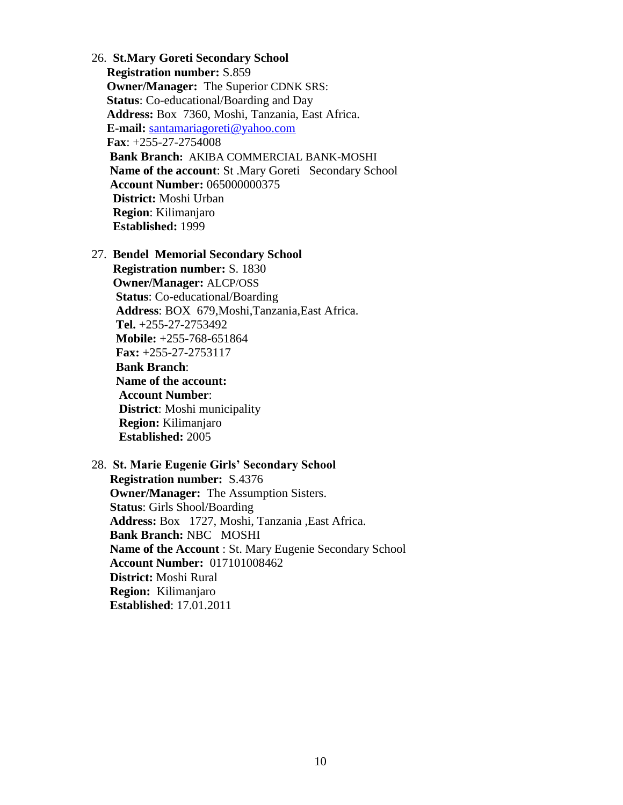26. **St.Mary Goreti Secondary School Registration number:** S.859 **Owner/Manager:** The Superior CDNK SRS: **Status**: Co-educational/Boarding and Day **Address:** Box 7360, Moshi, Tanzania, East Africa. **E-mail:** [santamariagoreti@yahoo.com](mailto:santamariagoreti@yahoo.com) **Fax**: +255-27-2754008 **Bank Branch:** AKIBA COMMERCIAL BANK-MOSHI **Name of the account: St. Mary Goreti Secondary School Account Number:** 065000000375  **District:** Moshi Urban **Region**: Kilimanjaro **Established:** 1999

27. **Bendel Memorial Secondary School**

 **Registration number:** S. 1830 **Owner/Manager:** ALCP/OSS **Status**: Co-educational/Boarding **Address**: BOX 679,Moshi,Tanzania,East Africa. **Tel.** +255-27-2753492 **Mobile:** +255-768-651864 **Fax:** +255-27-2753117  **Bank Branch**: **Name of the account: Account Number**: **District**: Moshi municipality **Region:** Kilimanjaro  **Established:** 2005

28. **St. Marie Eugenie Girls' Secondary School Registration number:** S.4376 **Owner/Manager:** The Assumption Sisters. **Status**: Girls Shool/Boarding **Address:** Box 1727, Moshi, Tanzania ,East Africa. **Bank Branch:** NBC MOSHI **Name of the Account** : St. Mary Eugenie Secondary School **Account Number:** 017101008462 **District:** Moshi Rural **Region:** Kilimanjaro **Established**: 17.01.2011